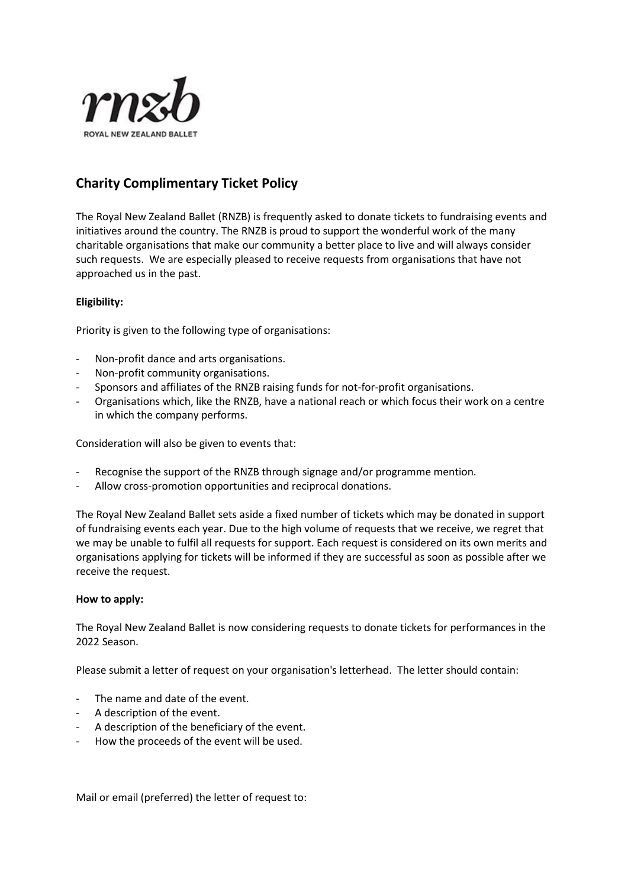

## **Charity Complimentary Ticket Policy**

The Royal New Zealand Ballet (RNZB) is frequently asked to donate tickets to fundraising events and initiatives around the country. The RNZB is proud to support the wonderful work of the many charitable organisations that make our community a better place to live and will always consider such requests. We are especially pleased to receive requests from organisations that have not approached us in the past.

## **Eligibility:**

Priority is given to the following type of organisations:

- Non-profit dance and arts organisations.
- Non-profit community organisations.
- Sponsors and affiliates of the RNZB raising funds for not-for-profit organisations.
- Organisations which, like the RNZB, have a national reach or which focus their work on a centre in which the company performs.

Consideration will also be given to events that:

- Recognise the support of the RNZB through signage and/or programme mention.
- Allow cross-promotion opportunities and reciprocal donations.

The Royal New Zealand Ballet sets aside a fixed number of tickets which may be donated in support of fundraising events each year. Due to the high volume of requests that we receive, we regret that we may be unable to fulfil all requests for support. Each request is considered on its own merits and organisations applying for tickets will be informed if they are successful as soon as possible after we receive the request.

## **How to apply:**

The Royal New Zealand Ballet is now considering requests to donate tickets for performances in the 2022 Season.

Please submit a letter of request on your organisation's letterhead. The letter should contain:

- The name and date of the event.
- A description of the event.
- A description of the beneficiary of the event.
- How the proceeds of the event will be used.

Mail or email (preferred) the letter of request to: